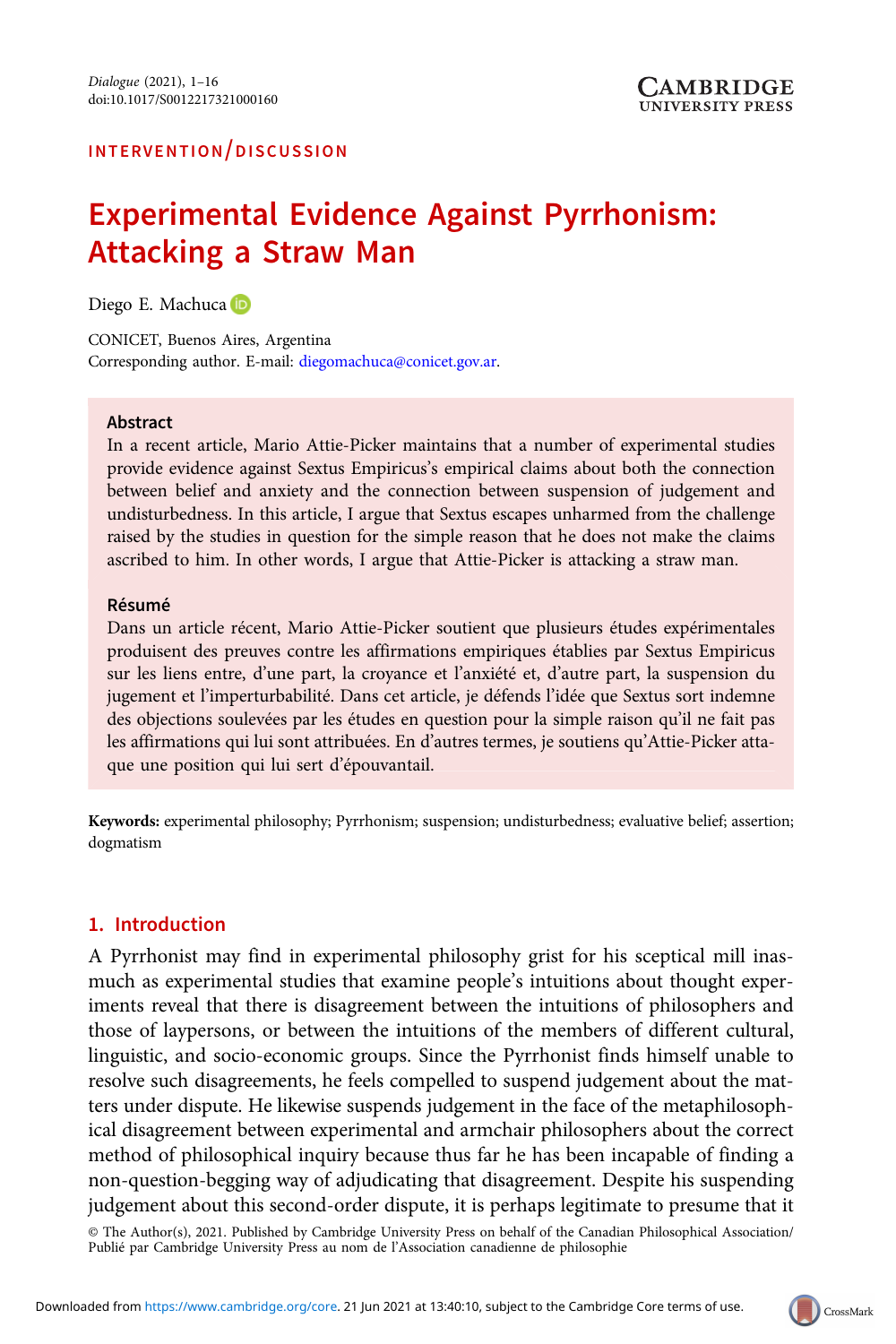# Experimental Evidence Against Pyrrhonism: Attacking a Straw Man

Diego E. Machuca D

CONICET, Buenos Aires, Argentina Corresponding author. E-mail: [diegomachuca@conicet.gov.ar](mailto:diegomachuca@conicet.gov.ar).

#### Abstract

In a recent article, Mario Attie-Picker maintains that a number of experimental studies provide evidence against Sextus Empiricus's empirical claims about both the connection between belief and anxiety and the connection between suspension of judgement and undisturbedness. In this article, I argue that Sextus escapes unharmed from the challenge raised by the studies in question for the simple reason that he does not make the claims ascribed to him. In other words, I argue that Attie-Picker is attacking a straw man.

#### Résumé

Dans un article récent, Mario Attie-Picker soutient que plusieurs études expérimentales produisent des preuves contre les affirmations empiriques établies par Sextus Empiricus sur les liens entre, d'une part, la croyance et l'anxiété et, d'autre part, la suspension du jugement et l'imperturbabilité. Dans cet article, je défends l'idée que Sextus sort indemne des objections soulevées par les études en question pour la simple raison qu'il ne fait pas les affirmations qui lui sont attribuées. En d'autres termes, je soutiens qu'Attie-Picker attaque une position qui lui sert d'épouvantail.

Keywords: experimental philosophy; Pyrrhonism; suspension; undisturbedness; evaluative belief; assertion; dogmatism

# 1. Introduction

A Pyrrhonist may find in experimental philosophy grist for his sceptical mill inasmuch as experimental studies that examine people's intuitions about thought experiments reveal that there is disagreement between the intuitions of philosophers and those of laypersons, or between the intuitions of the members of different cultural, linguistic, and socio-economic groups. Since the Pyrrhonist finds himself unable to resolve such disagreements, he feels compelled to suspend judgement about the matters under dispute. He likewise suspends judgement in the face of the metaphilosophical disagreement between experimental and armchair philosophers about the correct method of philosophical inquiry because thus far he has been incapable of finding a non-question-begging way of adjudicating that disagreement. Despite his suspending judgement about this second-order dispute, it is perhaps legitimate to presume that it

© The Author(s), 2021. Published by Cambridge University Press on behalf of the Canadian Philosophical Association/ Publié par Cambridge University Press au nom de l'Association canadienne de philosophie

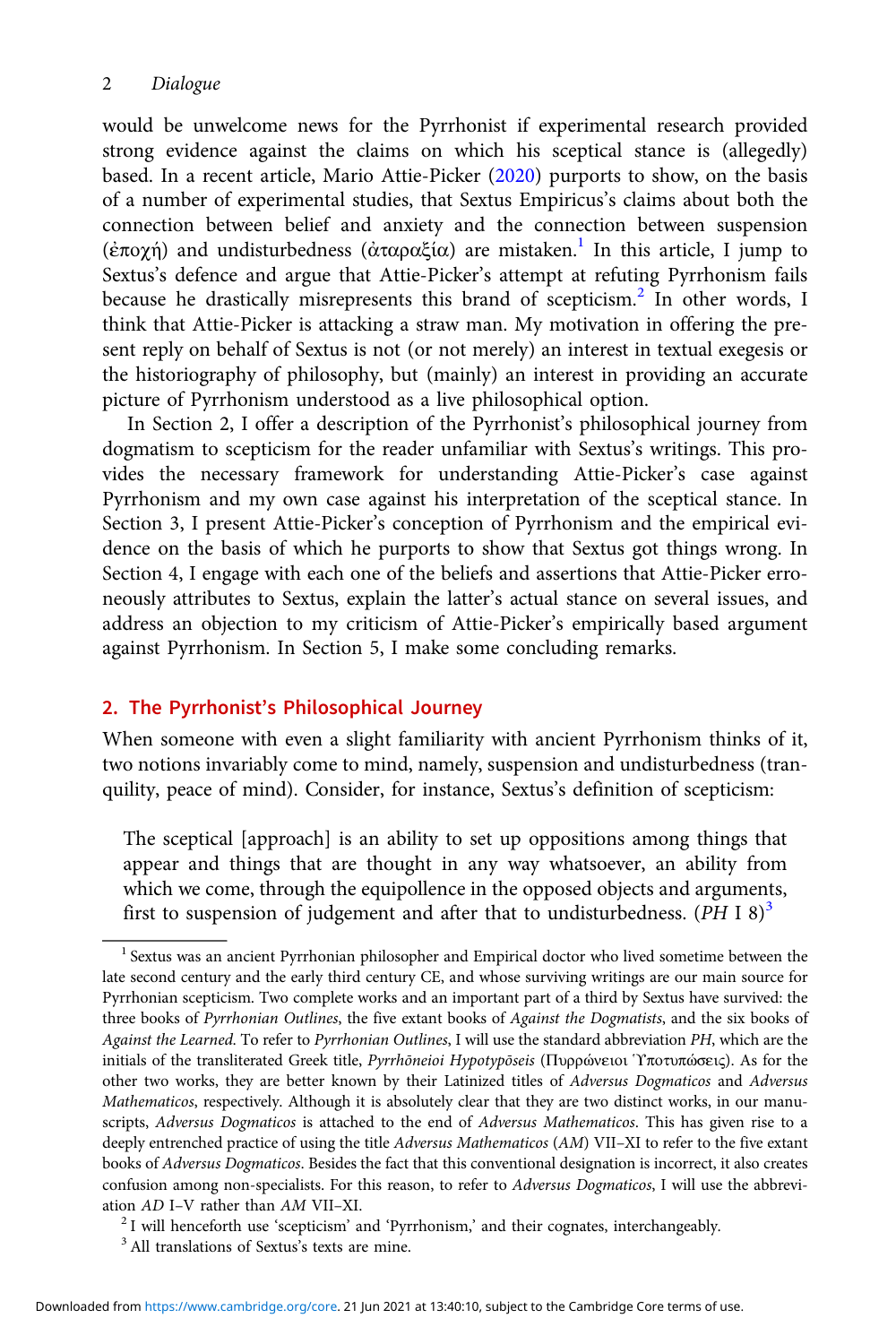would be unwelcome news for the Pyrrhonist if experimental research provided strong evidence against the claims on which his sceptical stance is (allegedly) based. In a recent article, Mario Attie-Picker ([2020\)](#page-14-0) purports to show, on the basis of a number of experimental studies, that Sextus Empiricus's claims about both the connection between belief and anxiety and the connection between suspension (ἐποχή) and undisturbedness (ἀταραξία) are mistaken.<sup>1</sup> In this article, I jump to Sextus's defence and argue that Attie-Picker's attempt at refuting Pyrrhonism fails because he drastically misrepresents this brand of scepticism.<sup>2</sup> In other words, I think that Attie-Picker is attacking a straw man. My motivation in offering the present reply on behalf of Sextus is not (or not merely) an interest in textual exegesis or the historiography of philosophy, but (mainly) an interest in providing an accurate picture of Pyrrhonism understood as a live philosophical option.

In Section 2, I offer a description of the Pyrrhonist's philosophical journey from dogmatism to scepticism for the reader unfamiliar with Sextus's writings. This provides the necessary framework for understanding Attie-Picker's case against Pyrrhonism and my own case against his interpretation of the sceptical stance. In Section 3, I present Attie-Picker's conception of Pyrrhonism and the empirical evidence on the basis of which he purports to show that Sextus got things wrong. In Section 4, I engage with each one of the beliefs and assertions that Attie-Picker erroneously attributes to Sextus, explain the latter's actual stance on several issues, and address an objection to my criticism of Attie-Picker's empirically based argument against Pyrrhonism. In Section 5, I make some concluding remarks.

# 2. The Pyrrhonist's Philosophical Journey

When someone with even a slight familiarity with ancient Pyrrhonism thinks of it, two notions invariably come to mind, namely, suspension and undisturbedness (tranquility, peace of mind). Consider, for instance, Sextus's definition of scepticism:

The sceptical [approach] is an ability to set up oppositions among things that appear and things that are thought in any way whatsoever, an ability from which we come, through the equipollence in the opposed objects and arguments, first to suspension of judgement and after that to undisturbedness. (PH I 8)<sup>3</sup>

<sup>&</sup>lt;sup>1</sup> Sextus was an ancient Pyrrhonian philosopher and Empirical doctor who lived sometime between the late second century and the early third century CE, and whose surviving writings are our main source for Pyrrhonian scepticism. Two complete works and an important part of a third by Sextus have survived: the three books of Pyrrhonian Outlines, the five extant books of Against the Dogmatists, and the six books of Against the Learned. To refer to Pyrrhonian Outlines, I will use the standard abbreviation PH, which are the initials of the transliterated Greek title, Pyrrhōneioi Ηγροtγρōseis (Πυρρώνειοι Υποτυπώσεις). As for the other two works, they are better known by their Latinized titles of Adversus Dogmaticos and Adversus Mathematicos, respectively. Although it is absolutely clear that they are two distinct works, in our manuscripts, Adversus Dogmaticos is attached to the end of Adversus Mathematicos. This has given rise to a deeply entrenched practice of using the title Adversus Mathematicos (AM) VII-XI to refer to the five extant books of Adversus Dogmaticos. Besides the fact that this conventional designation is incorrect, it also creates confusion among non-specialists. For this reason, to refer to Adversus Dogmaticos, I will use the abbrevi-

ation AD I–V rather than AM VII–XI.<br><sup>2</sup> I will henceforth use 'scepticism' and 'Pyrrhonism,' and their cognates, interchangeably.<br><sup>3</sup> All translations of Sextus's texts are mine.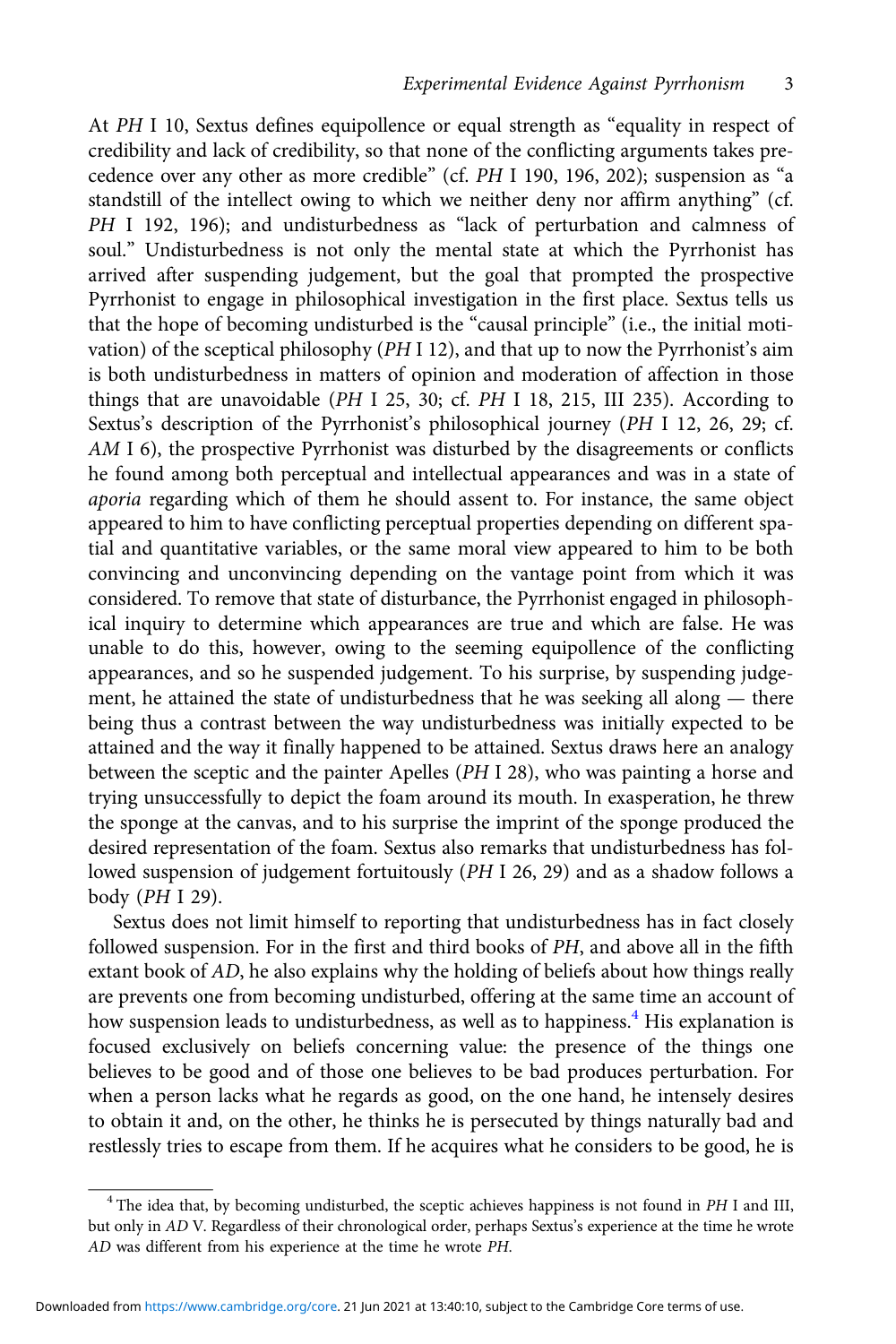At PH I 10, Sextus defines equipollence or equal strength as "equality in respect of credibility and lack of credibility, so that none of the conflicting arguments takes precedence over any other as more credible" (cf. PH I 190, 196, 202); suspension as "a standstill of the intellect owing to which we neither deny nor affirm anything" (cf. PH I 192, 196); and undisturbedness as "lack of perturbation and calmness of soul." Undisturbedness is not only the mental state at which the Pyrrhonist has arrived after suspending judgement, but the goal that prompted the prospective Pyrrhonist to engage in philosophical investigation in the first place. Sextus tells us that the hope of becoming undisturbed is the "causal principle" (i.e., the initial motivation) of the sceptical philosophy (PH I 12), and that up to now the Pyrrhonist's aim is both undisturbedness in matters of opinion and moderation of affection in those things that are unavoidable (PH I 25, 30; cf. PH I 18, 215, III 235). According to Sextus's description of the Pyrrhonist's philosophical journey (PH I 12, 26, 29; cf. AM I 6), the prospective Pyrrhonist was disturbed by the disagreements or conflicts he found among both perceptual and intellectual appearances and was in a state of aporia regarding which of them he should assent to. For instance, the same object appeared to him to have conflicting perceptual properties depending on different spatial and quantitative variables, or the same moral view appeared to him to be both convincing and unconvincing depending on the vantage point from which it was considered. To remove that state of disturbance, the Pyrrhonist engaged in philosophical inquiry to determine which appearances are true and which are false. He was unable to do this, however, owing to the seeming equipollence of the conflicting appearances, and so he suspended judgement. To his surprise, by suspending judgement, he attained the state of undisturbedness that he was seeking all along — there being thus a contrast between the way undisturbedness was initially expected to be attained and the way it finally happened to be attained. Sextus draws here an analogy between the sceptic and the painter Apelles (PH I 28), who was painting a horse and trying unsuccessfully to depict the foam around its mouth. In exasperation, he threw the sponge at the canvas, and to his surprise the imprint of the sponge produced the desired representation of the foam. Sextus also remarks that undisturbedness has followed suspension of judgement fortuitously (PH I 26, 29) and as a shadow follows a body (PH I 29).

Sextus does not limit himself to reporting that undisturbedness has in fact closely followed suspension. For in the first and third books of PH, and above all in the fifth extant book of AD, he also explains why the holding of beliefs about how things really are prevents one from becoming undisturbed, offering at the same time an account of how suspension leads to undisturbedness, as well as to happiness.<sup>4</sup> His explanation is focused exclusively on beliefs concerning value: the presence of the things one believes to be good and of those one believes to be bad produces perturbation. For when a person lacks what he regards as good, on the one hand, he intensely desires to obtain it and, on the other, he thinks he is persecuted by things naturally bad and restlessly tries to escape from them. If he acquires what he considers to be good, he is

<sup>&</sup>lt;sup>4</sup> The idea that, by becoming undisturbed, the sceptic achieves happiness is not found in PH I and III, but only in AD V. Regardless of their chronological order, perhaps Sextus's experience at the time he wrote AD was different from his experience at the time he wrote PH.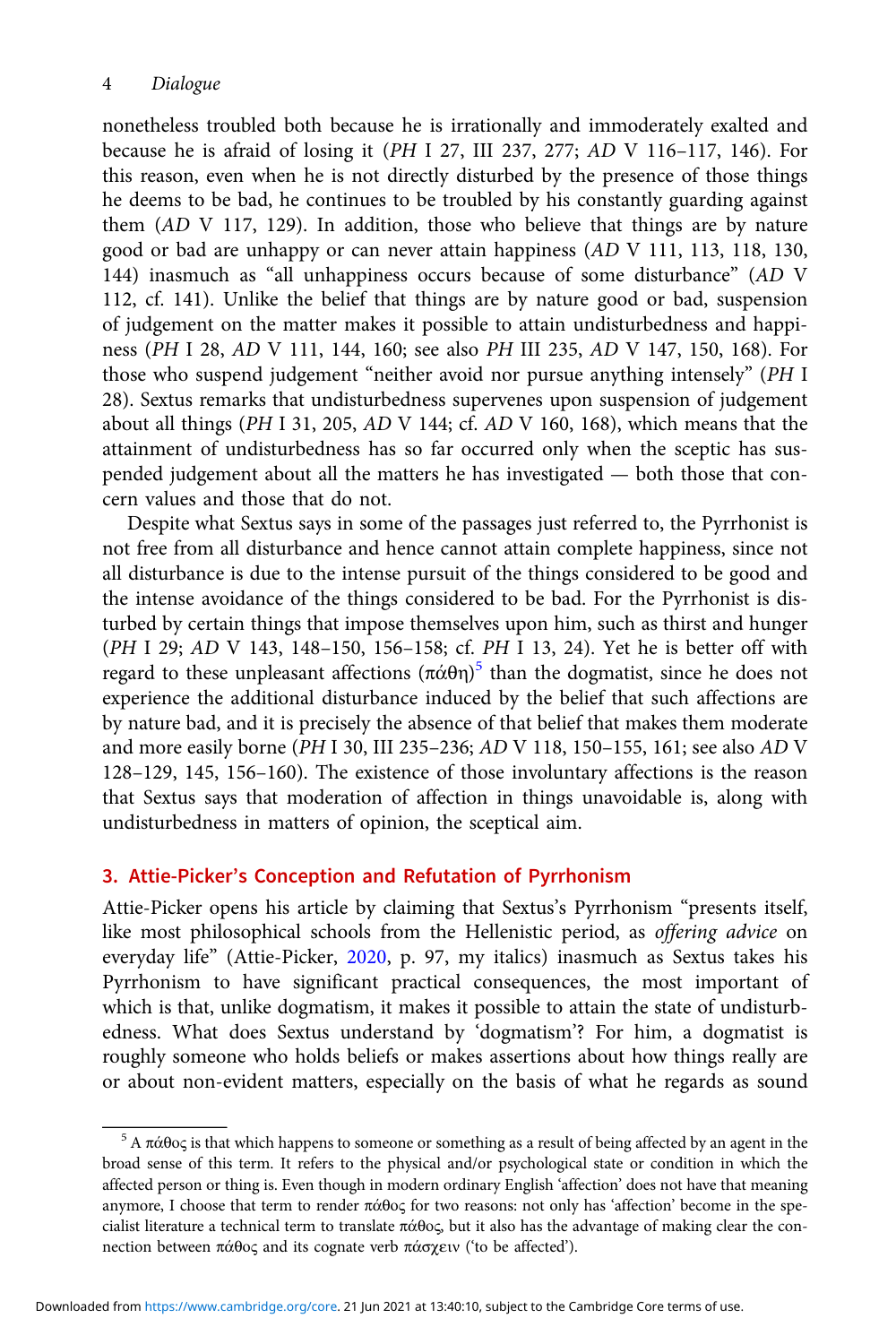nonetheless troubled both because he is irrationally and immoderately exalted and because he is afraid of losing it (PH I 27, III 237, 277; AD V 116–117, 146). For this reason, even when he is not directly disturbed by the presence of those things he deems to be bad, he continues to be troubled by his constantly guarding against them (AD V 117, 129). In addition, those who believe that things are by nature good or bad are unhappy or can never attain happiness (AD V 111, 113, 118, 130, 144) inasmuch as "all unhappiness occurs because of some disturbance" (AD V 112, cf. 141). Unlike the belief that things are by nature good or bad, suspension of judgement on the matter makes it possible to attain undisturbedness and happiness (PH I 28, AD V 111, 144, 160; see also PH III 235, AD V 147, 150, 168). For those who suspend judgement "neither avoid nor pursue anything intensely" (PH I 28). Sextus remarks that undisturbedness supervenes upon suspension of judgement about all things (PH I 31, 205, AD V 144; cf. AD V 160, 168), which means that the attainment of undisturbedness has so far occurred only when the sceptic has suspended judgement about all the matters he has investigated — both those that concern values and those that do not.

Despite what Sextus says in some of the passages just referred to, the Pyrrhonist is not free from all disturbance and hence cannot attain complete happiness, since not all disturbance is due to the intense pursuit of the things considered to be good and the intense avoidance of the things considered to be bad. For the Pyrrhonist is disturbed by certain things that impose themselves upon him, such as thirst and hunger (PH I 29; AD V 143, 148–150, 156–158; cf. PH I 13, 24). Yet he is better off with regard to these unpleasant affections  $(\pi \acute{\alpha} \theta \eta)^5$  than the dogmatist, since he does not experience the additional disturbance induced by the belief that such affections are by nature bad, and it is precisely the absence of that belief that makes them moderate and more easily borne (PH I 30, III 235–236; AD V 118, 150–155, 161; see also AD V 128–129, 145, 156–160). The existence of those involuntary affections is the reason that Sextus says that moderation of affection in things unavoidable is, along with undisturbedness in matters of opinion, the sceptical aim.

# 3. Attie-Picker's Conception and Refutation of Pyrrhonism

Attie-Picker opens his article by claiming that Sextus's Pyrrhonism "presents itself, like most philosophical schools from the Hellenistic period, as offering advice on everyday life" (Attie-Picker, [2020](#page-14-0), p. 97, my italics) inasmuch as Sextus takes his Pyrrhonism to have significant practical consequences, the most important of which is that, unlike dogmatism, it makes it possible to attain the state of undisturbedness. What does Sextus understand by 'dogmatism'? For him, a dogmatist is roughly someone who holds beliefs or makes assertions about how things really are or about non-evident matters, especially on the basis of what he regards as sound

<sup>&</sup>lt;sup>5</sup> A πάθος is that which happens to someone or something as a result of being affected by an agent in the broad sense of this term. It refers to the physical and/or psychological state or condition in which the affected person or thing is. Even though in modern ordinary English 'affection' does not have that meaning anymore, I choose that term to render πάθος for two reasons: not only has 'affection' become in the specialist literature a technical term to translate πάθος, but it also has the advantage of making clear the connection between πάθος and its cognate verb πάσχειν ('to be affected').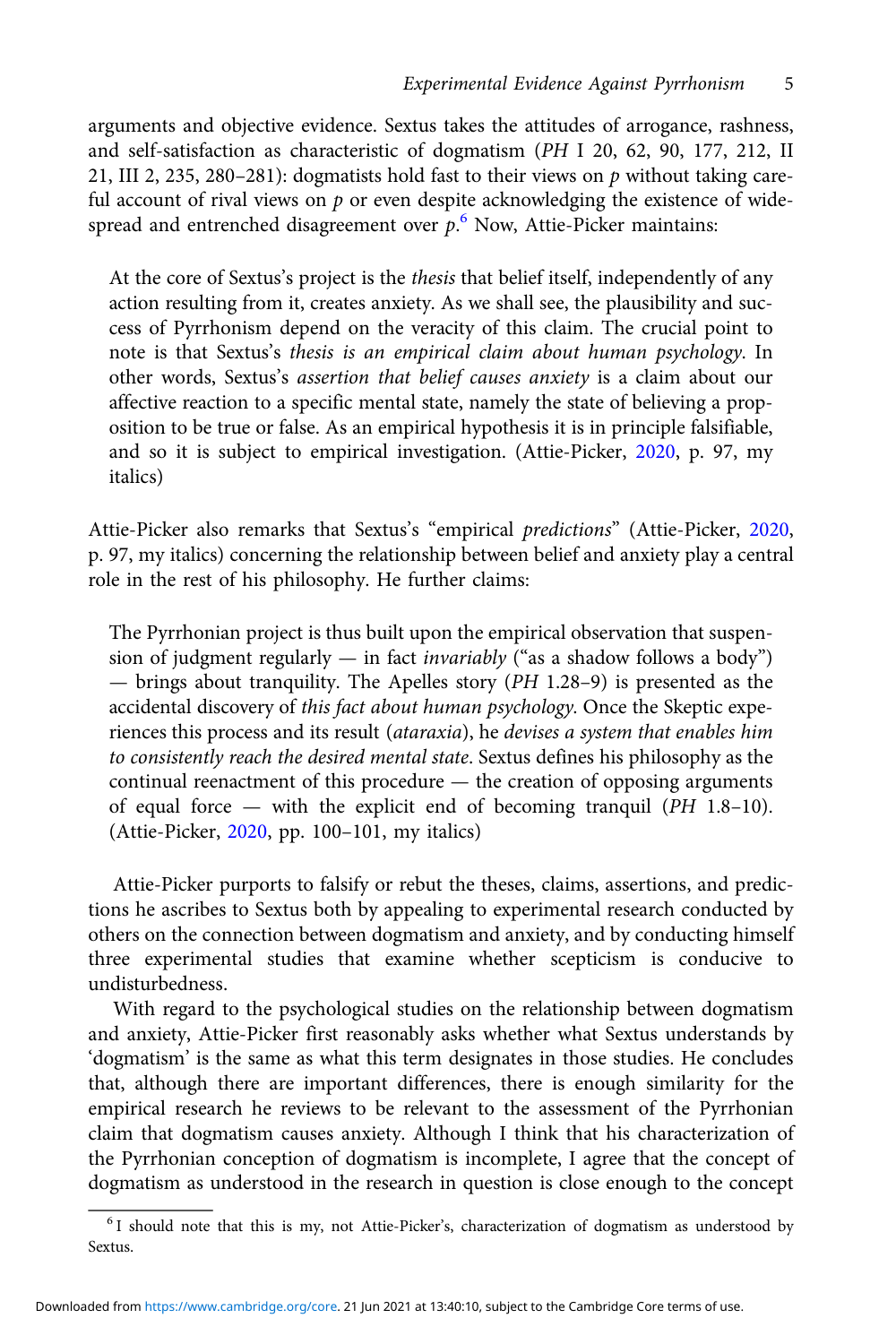arguments and objective evidence. Sextus takes the attitudes of arrogance, rashness, and self-satisfaction as characteristic of dogmatism (PH I 20, 62, 90, 177, 212, II 21, III 2, 235, 280–281): dogmatists hold fast to their views on  $p$  without taking careful account of rival views on  $p$  or even despite acknowledging the existence of widespread and entrenched disagreement over  $p^6$ . Now, Attie-Picker maintains:

At the core of Sextus's project is the thesis that belief itself, independently of any action resulting from it, creates anxiety. As we shall see, the plausibility and success of Pyrrhonism depend on the veracity of this claim. The crucial point to note is that Sextus's thesis is an empirical claim about human psychology. In other words, Sextus's assertion that belief causes anxiety is a claim about our affective reaction to a specific mental state, namely the state of believing a proposition to be true or false. As an empirical hypothesis it is in principle falsifiable, and so it is subject to empirical investigation. (Attie-Picker, [2020,](#page-14-0) p. 97, my italics)

Attie-Picker also remarks that Sextus's "empirical predictions" (Attie-Picker, [2020](#page-14-0), p. 97, my italics) concerning the relationship between belief and anxiety play a central role in the rest of his philosophy. He further claims:

The Pyrrhonian project is thus built upon the empirical observation that suspension of judgment regularly  $-$  in fact *invariably* ("as a shadow follows a body") — brings about tranquility. The Apelles story (PH 1.28–9) is presented as the accidental discovery of this fact about human psychology. Once the Skeptic experiences this process and its result (ataraxia), he devises a system that enables him to consistently reach the desired mental state. Sextus defines his philosophy as the continual reenactment of this procedure — the creation of opposing arguments of equal force — with the explicit end of becoming tranquil (PH 1.8–10). (Attie-Picker, [2020,](#page-14-0) pp. 100–101, my italics)

Attie-Picker purports to falsify or rebut the theses, claims, assertions, and predictions he ascribes to Sextus both by appealing to experimental research conducted by others on the connection between dogmatism and anxiety, and by conducting himself three experimental studies that examine whether scepticism is conducive to undisturbedness.

With regard to the psychological studies on the relationship between dogmatism and anxiety, Attie-Picker first reasonably asks whether what Sextus understands by 'dogmatism' is the same as what this term designates in those studies. He concludes that, although there are important differences, there is enough similarity for the empirical research he reviews to be relevant to the assessment of the Pyrrhonian claim that dogmatism causes anxiety. Although I think that his characterization of the Pyrrhonian conception of dogmatism is incomplete, I agree that the concept of dogmatism as understood in the research in question is close enough to the concept

<sup>6</sup> I should note that this is my, not Attie-Picker's, characterization of dogmatism as understood by Sextus.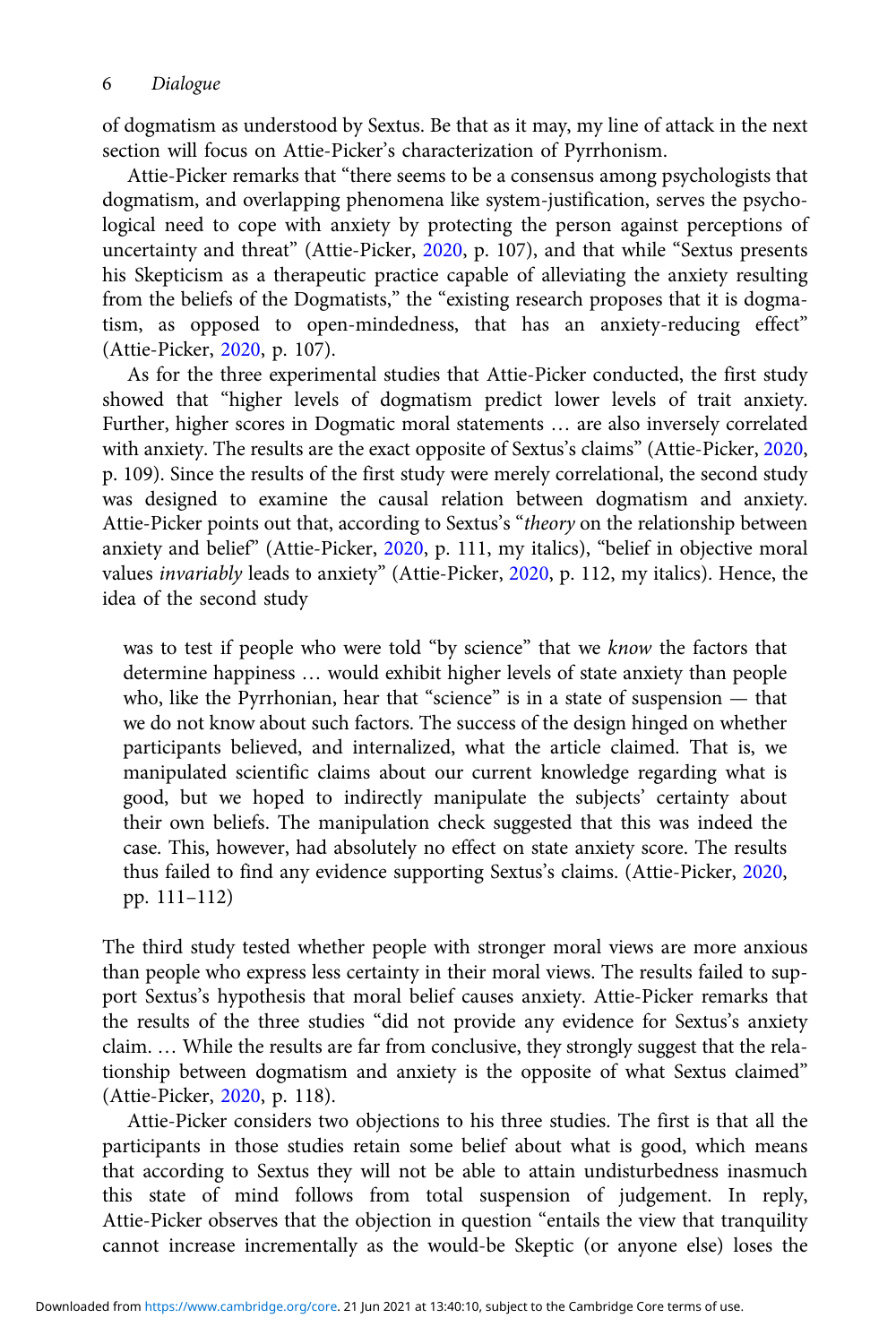of dogmatism as understood by Sextus. Be that as it may, my line of attack in the next section will focus on Attie-Picker's characterization of Pyrrhonism.

Attie-Picker remarks that "there seems to be a consensus among psychologists that dogmatism, and overlapping phenomena like system-justification, serves the psychological need to cope with anxiety by protecting the person against perceptions of uncertainty and threat" (Attie-Picker, [2020](#page-14-0), p. 107), and that while "Sextus presents his Skepticism as a therapeutic practice capable of alleviating the anxiety resulting from the beliefs of the Dogmatists," the "existing research proposes that it is dogmatism, as opposed to open-mindedness, that has an anxiety-reducing effect" (Attie-Picker, [2020,](#page-14-0) p. 107).

As for the three experimental studies that Attie-Picker conducted, the first study showed that "higher levels of dogmatism predict lower levels of trait anxiety. Further, higher scores in Dogmatic moral statements … are also inversely correlated with anxiety. The results are the exact opposite of Sextus's claims" (Attie-Picker, [2020](#page-14-0), p. 109). Since the results of the first study were merely correlational, the second study was designed to examine the causal relation between dogmatism and anxiety. Attie-Picker points out that, according to Sextus's "theory on the relationship between anxiety and belief" (Attie-Picker, [2020](#page-14-0), p. 111, my italics), "belief in objective moral values invariably leads to anxiety" (Attie-Picker, [2020,](#page-14-0) p. 112, my italics). Hence, the idea of the second study

was to test if people who were told "by science" that we know the factors that determine happiness … would exhibit higher levels of state anxiety than people who, like the Pyrrhonian, hear that "science" is in a state of suspension — that we do not know about such factors. The success of the design hinged on whether participants believed, and internalized, what the article claimed. That is, we manipulated scientific claims about our current knowledge regarding what is good, but we hoped to indirectly manipulate the subjects' certainty about their own beliefs. The manipulation check suggested that this was indeed the case. This, however, had absolutely no effect on state anxiety score. The results thus failed to find any evidence supporting Sextus's claims. (Attie-Picker, [2020](#page-14-0), pp. 111–112)

The third study tested whether people with stronger moral views are more anxious than people who express less certainty in their moral views. The results failed to support Sextus's hypothesis that moral belief causes anxiety. Attie-Picker remarks that the results of the three studies "did not provide any evidence for Sextus's anxiety claim. … While the results are far from conclusive, they strongly suggest that the relationship between dogmatism and anxiety is the opposite of what Sextus claimed" (Attie-Picker, [2020,](#page-14-0) p. 118).

Attie-Picker considers two objections to his three studies. The first is that all the participants in those studies retain some belief about what is good, which means that according to Sextus they will not be able to attain undisturbedness inasmuch this state of mind follows from total suspension of judgement. In reply, Attie-Picker observes that the objection in question "entails the view that tranquility cannot increase incrementally as the would-be Skeptic (or anyone else) loses the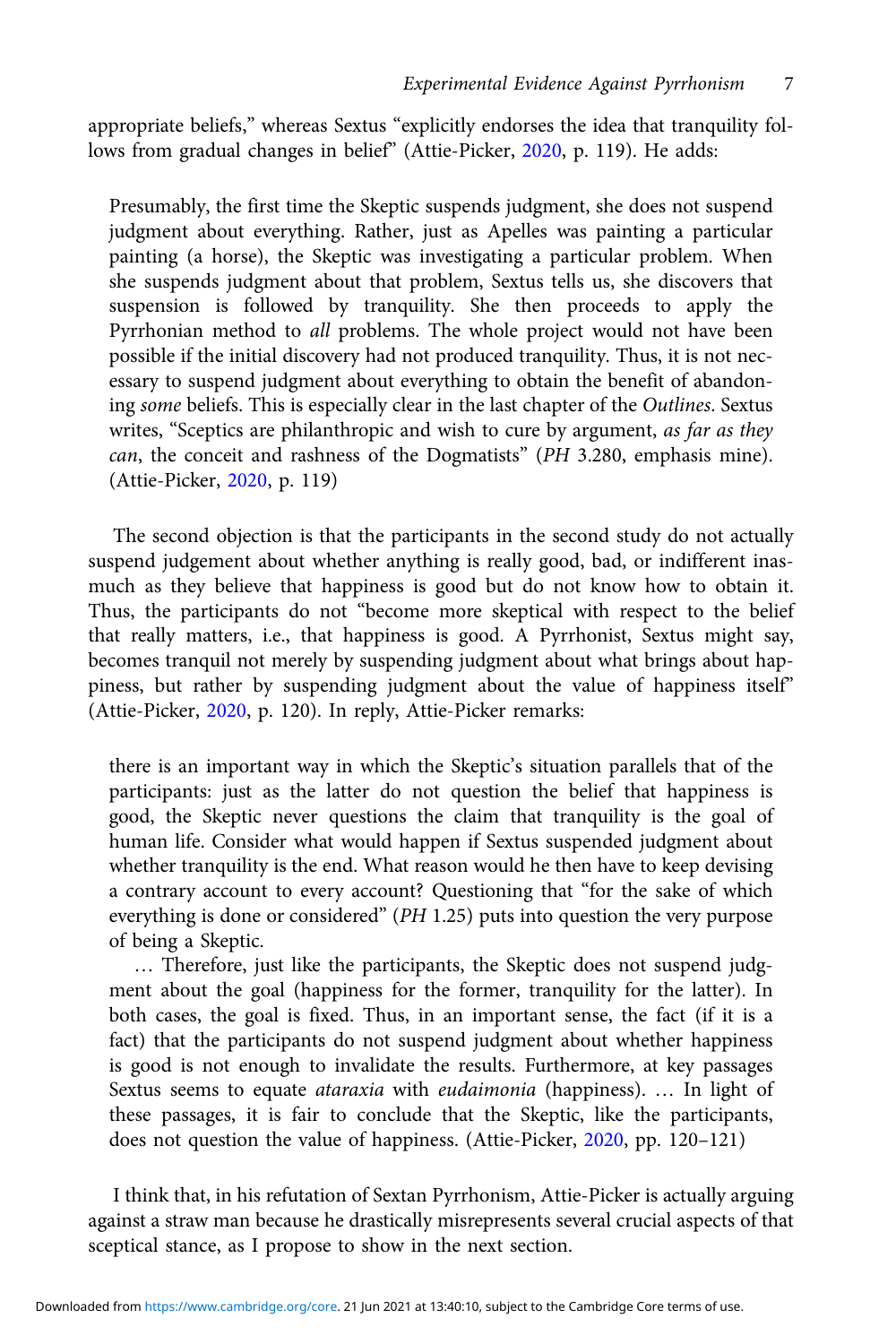appropriate beliefs," whereas Sextus "explicitly endorses the idea that tranquility follows from gradual changes in belief" (Attie-Picker, [2020,](#page-14-0) p. 119). He adds:

Presumably, the first time the Skeptic suspends judgment, she does not suspend judgment about everything. Rather, just as Apelles was painting a particular painting (a horse), the Skeptic was investigating a particular problem. When she suspends judgment about that problem, Sextus tells us, she discovers that suspension is followed by tranquility. She then proceeds to apply the Pyrrhonian method to all problems. The whole project would not have been possible if the initial discovery had not produced tranquility. Thus, it is not necessary to suspend judgment about everything to obtain the benefit of abandoning some beliefs. This is especially clear in the last chapter of the Outlines. Sextus writes, "Sceptics are philanthropic and wish to cure by argument, as far as they can, the conceit and rashness of the Dogmatists" (PH 3.280, emphasis mine). (Attie-Picker, [2020,](#page-14-0) p. 119)

The second objection is that the participants in the second study do not actually suspend judgement about whether anything is really good, bad, or indifferent inasmuch as they believe that happiness is good but do not know how to obtain it. Thus, the participants do not "become more skeptical with respect to the belief that really matters, i.e., that happiness is good. A Pyrrhonist, Sextus might say, becomes tranquil not merely by suspending judgment about what brings about happiness, but rather by suspending judgment about the value of happiness itself" (Attie-Picker, [2020,](#page-14-0) p. 120). In reply, Attie-Picker remarks:

there is an important way in which the Skeptic's situation parallels that of the participants: just as the latter do not question the belief that happiness is good, the Skeptic never questions the claim that tranquility is the goal of human life. Consider what would happen if Sextus suspended judgment about whether tranquility is the end. What reason would he then have to keep devising a contrary account to every account? Questioning that "for the sake of which everything is done or considered" (PH 1.25) puts into question the very purpose of being a Skeptic.

… Therefore, just like the participants, the Skeptic does not suspend judgment about the goal (happiness for the former, tranquility for the latter). In both cases, the goal is fixed. Thus, in an important sense, the fact (if it is a fact) that the participants do not suspend judgment about whether happiness is good is not enough to invalidate the results. Furthermore, at key passages Sextus seems to equate ataraxia with eudaimonia (happiness). … In light of these passages, it is fair to conclude that the Skeptic, like the participants, does not question the value of happiness. (Attie-Picker, [2020,](#page-14-0) pp. 120–121)

I think that, in his refutation of Sextan Pyrrhonism, Attie-Picker is actually arguing against a straw man because he drastically misrepresents several crucial aspects of that sceptical stance, as I propose to show in the next section.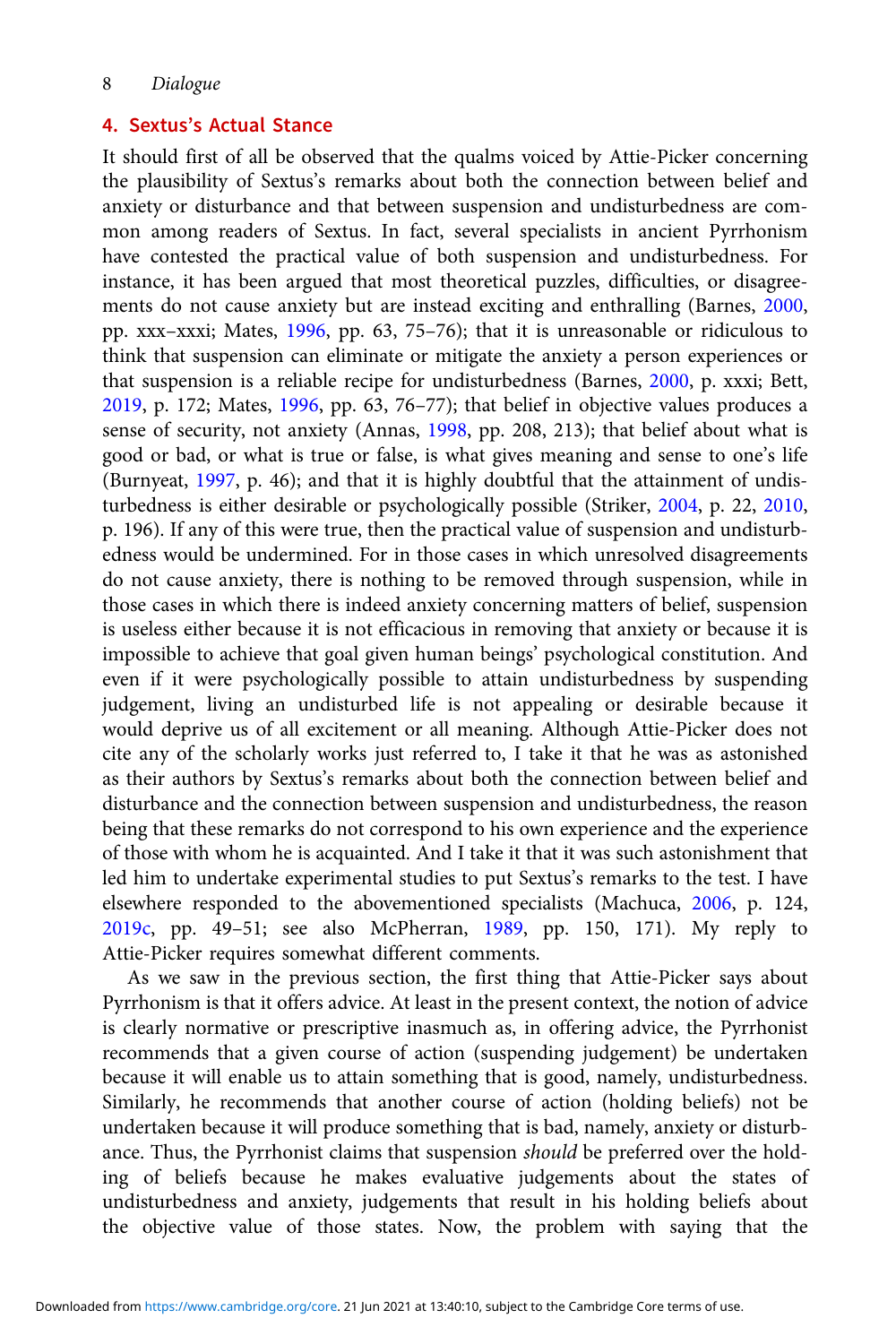## 8 Dialogue

## 4. Sextus's Actual Stance

It should first of all be observed that the qualms voiced by Attie-Picker concerning the plausibility of Sextus's remarks about both the connection between belief and anxiety or disturbance and that between suspension and undisturbedness are common among readers of Sextus. In fact, several specialists in ancient Pyrrhonism have contested the practical value of both suspension and undisturbedness. For instance, it has been argued that most theoretical puzzles, difficulties, or disagreements do not cause anxiety but are instead exciting and enthralling (Barnes, [2000](#page-14-0), pp. xxx–xxxi; Mates, [1996](#page-14-0), pp. 63, 75–76); that it is unreasonable or ridiculous to think that suspension can eliminate or mitigate the anxiety a person experiences or that suspension is a reliable recipe for undisturbedness (Barnes, [2000](#page-14-0), p. xxxi; Bett, [2019](#page-14-0), p. 172; Mates, [1996,](#page-14-0) pp. 63, 76–77); that belief in objective values produces a sense of security, not anxiety (Annas, [1998](#page-14-0), pp. 208, 213); that belief about what is good or bad, or what is true or false, is what gives meaning and sense to one's life (Burnyeat, [1997](#page-14-0), p. 46); and that it is highly doubtful that the attainment of undisturbedness is either desirable or psychologically possible (Striker, [2004](#page-15-0), p. 22, [2010](#page-15-0), p. 196). If any of this were true, then the practical value of suspension and undisturbedness would be undermined. For in those cases in which unresolved disagreements do not cause anxiety, there is nothing to be removed through suspension, while in those cases in which there is indeed anxiety concerning matters of belief, suspension is useless either because it is not efficacious in removing that anxiety or because it is impossible to achieve that goal given human beings' psychological constitution. And even if it were psychologically possible to attain undisturbedness by suspending judgement, living an undisturbed life is not appealing or desirable because it would deprive us of all excitement or all meaning. Although Attie-Picker does not cite any of the scholarly works just referred to, I take it that he was as astonished as their authors by Sextus's remarks about both the connection between belief and disturbance and the connection between suspension and undisturbedness, the reason being that these remarks do not correspond to his own experience and the experience of those with whom he is acquainted. And I take it that it was such astonishment that led him to undertake experimental studies to put Sextus's remarks to the test. I have elsewhere responded to the abovementioned specialists (Machuca, [2006,](#page-14-0) p. 124, [2019c,](#page-14-0) pp. 49–51; see also McPherran, [1989](#page-14-0), pp. 150, 171). My reply to Attie-Picker requires somewhat different comments.

As we saw in the previous section, the first thing that Attie-Picker says about Pyrrhonism is that it offers advice. At least in the present context, the notion of advice is clearly normative or prescriptive inasmuch as, in offering advice, the Pyrrhonist recommends that a given course of action (suspending judgement) be undertaken because it will enable us to attain something that is good, namely, undisturbedness. Similarly, he recommends that another course of action (holding beliefs) not be undertaken because it will produce something that is bad, namely, anxiety or disturbance. Thus, the Pyrrhonist claims that suspension should be preferred over the holding of beliefs because he makes evaluative judgements about the states of undisturbedness and anxiety, judgements that result in his holding beliefs about the objective value of those states. Now, the problem with saying that the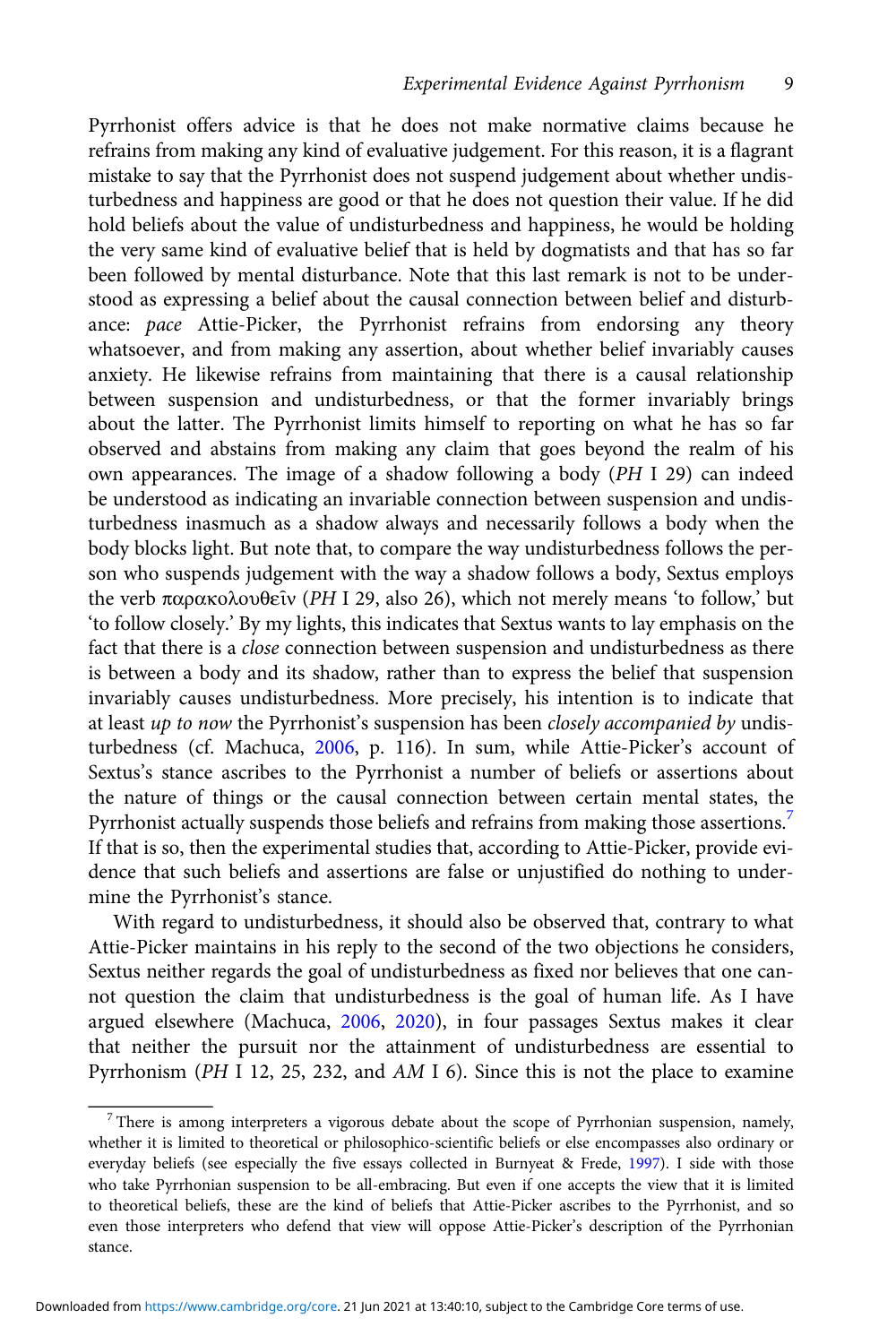Pyrrhonist offers advice is that he does not make normative claims because he refrains from making any kind of evaluative judgement. For this reason, it is a flagrant mistake to say that the Pyrrhonist does not suspend judgement about whether undisturbedness and happiness are good or that he does not question their value. If he did hold beliefs about the value of undisturbedness and happiness, he would be holding the very same kind of evaluative belief that is held by dogmatists and that has so far been followed by mental disturbance. Note that this last remark is not to be understood as expressing a belief about the causal connection between belief and disturbance: pace Attie-Picker, the Pyrrhonist refrains from endorsing any theory whatsoever, and from making any assertion, about whether belief invariably causes anxiety. He likewise refrains from maintaining that there is a causal relationship between suspension and undisturbedness, or that the former invariably brings about the latter. The Pyrrhonist limits himself to reporting on what he has so far observed and abstains from making any claim that goes beyond the realm of his own appearances. The image of a shadow following a body (PH I 29) can indeed be understood as indicating an invariable connection between suspension and undisturbedness inasmuch as a shadow always and necessarily follows a body when the body blocks light. But note that, to compare the way undisturbedness follows the person who suspends judgement with the way a shadow follows a body, Sextus employs the verb παρακολουθεῖν (PH I 29, also 26), which not merely means 'to follow,' but 'to follow closely.' By my lights, this indicates that Sextus wants to lay emphasis on the fact that there is a *close* connection between suspension and undisturbedness as there is between a body and its shadow, rather than to express the belief that suspension invariably causes undisturbedness. More precisely, his intention is to indicate that at least up to now the Pyrrhonist's suspension has been closely accompanied by undisturbedness (cf. Machuca, [2006,](#page-14-0) p. 116). In sum, while Attie-Picker's account of Sextus's stance ascribes to the Pyrrhonist a number of beliefs or assertions about the nature of things or the causal connection between certain mental states, the Pyrrhonist actually suspends those beliefs and refrains from making those assertions.<sup>7</sup> If that is so, then the experimental studies that, according to Attie-Picker, provide evidence that such beliefs and assertions are false or unjustified do nothing to undermine the Pyrrhonist's stance.

With regard to undisturbedness, it should also be observed that, contrary to what Attie-Picker maintains in his reply to the second of the two objections he considers, Sextus neither regards the goal of undisturbedness as fixed nor believes that one cannot question the claim that undisturbedness is the goal of human life. As I have argued elsewhere (Machuca, [2006,](#page-14-0) [2020\)](#page-14-0), in four passages Sextus makes it clear that neither the pursuit nor the attainment of undisturbedness are essential to Pyrrhonism (PH I 12, 25, 232, and AM I 6). Since this is not the place to examine

 $7$  There is among interpreters a vigorous debate about the scope of Pyrrhonian suspension, namely, whether it is limited to theoretical or philosophico-scientific beliefs or else encompasses also ordinary or everyday beliefs (see especially the five essays collected in Burnyeat & Frede, [1997](#page-14-0)). I side with those who take Pyrrhonian suspension to be all-embracing. But even if one accepts the view that it is limited to theoretical beliefs, these are the kind of beliefs that Attie-Picker ascribes to the Pyrrhonist, and so even those interpreters who defend that view will oppose Attie-Picker's description of the Pyrrhonian stance.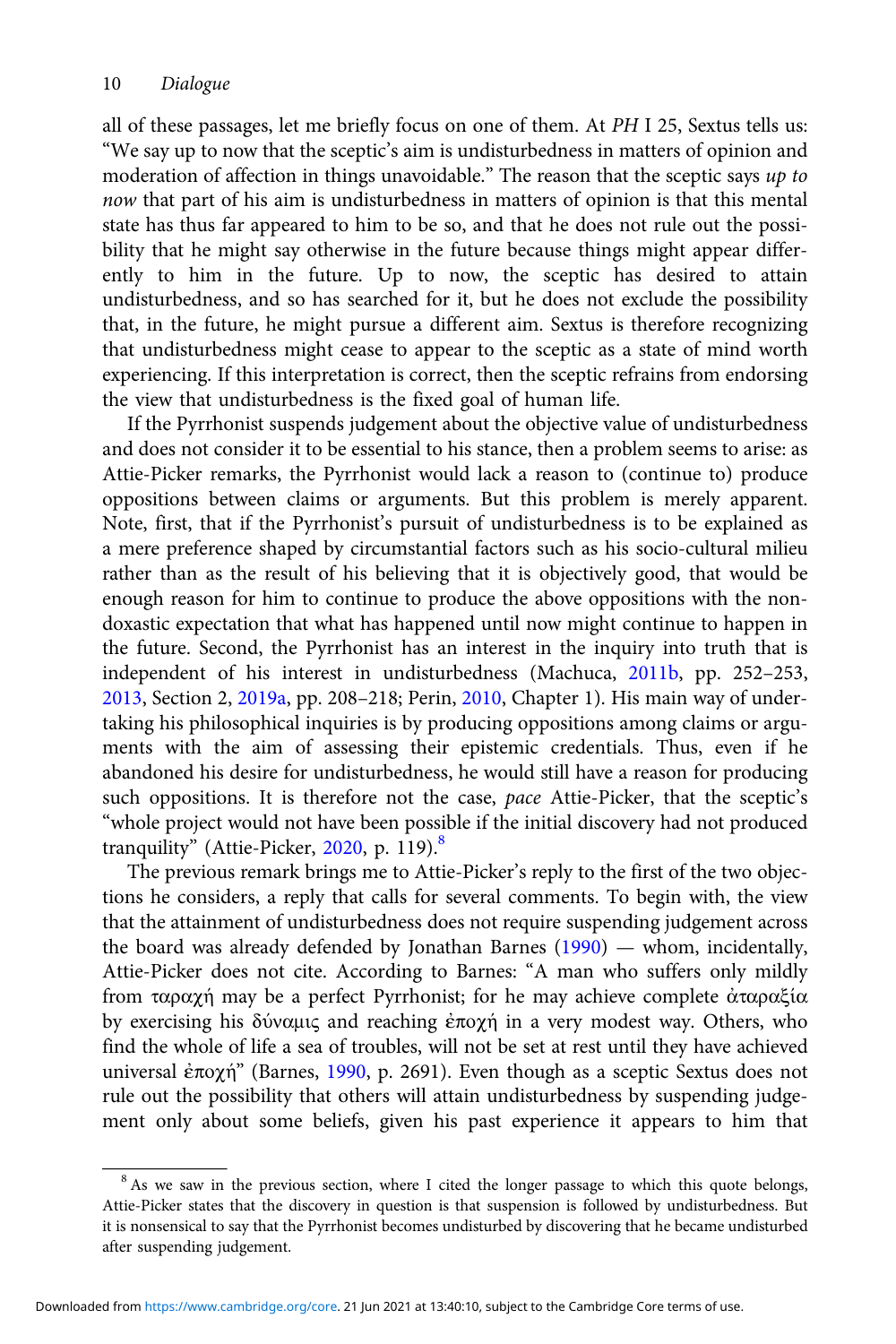all of these passages, let me briefly focus on one of them. At PH I 25, Sextus tells us: "We say up to now that the sceptic's aim is undisturbedness in matters of opinion and moderation of affection in things unavoidable." The reason that the sceptic says up to now that part of his aim is undisturbedness in matters of opinion is that this mental state has thus far appeared to him to be so, and that he does not rule out the possibility that he might say otherwise in the future because things might appear differently to him in the future. Up to now, the sceptic has desired to attain undisturbedness, and so has searched for it, but he does not exclude the possibility that, in the future, he might pursue a different aim. Sextus is therefore recognizing that undisturbedness might cease to appear to the sceptic as a state of mind worth experiencing. If this interpretation is correct, then the sceptic refrains from endorsing the view that undisturbedness is the fixed goal of human life.

If the Pyrrhonist suspends judgement about the objective value of undisturbedness and does not consider it to be essential to his stance, then a problem seems to arise: as Attie-Picker remarks, the Pyrrhonist would lack a reason to (continue to) produce oppositions between claims or arguments. But this problem is merely apparent. Note, first, that if the Pyrrhonist's pursuit of undisturbedness is to be explained as a mere preference shaped by circumstantial factors such as his socio-cultural milieu rather than as the result of his believing that it is objectively good, that would be enough reason for him to continue to produce the above oppositions with the nondoxastic expectation that what has happened until now might continue to happen in the future. Second, the Pyrrhonist has an interest in the inquiry into truth that is independent of his interest in undisturbedness (Machuca, [2011b](#page-14-0), pp. 252–253, [2013](#page-14-0), Section 2, [2019a](#page-14-0), pp. 208–218; Perin, [2010,](#page-14-0) Chapter 1). His main way of undertaking his philosophical inquiries is by producing oppositions among claims or arguments with the aim of assessing their epistemic credentials. Thus, even if he abandoned his desire for undisturbedness, he would still have a reason for producing such oppositions. It is therefore not the case, pace Attie-Picker, that the sceptic's "whole project would not have been possible if the initial discovery had not produced tranquility" (Attie-Picker, [2020,](#page-14-0) p. 119).<sup>8</sup>

The previous remark brings me to Attie-Picker's reply to the first of the two objections he considers, a reply that calls for several comments. To begin with, the view that the attainment of undisturbedness does not require suspending judgement across the board was already defended by Jonathan Barnes ([1990\)](#page-14-0) — whom, incidentally, Attie-Picker does not cite. According to Barnes: "A man who suffers only mildly from ταραχή may be a perfect Pyrrhonist; for he may achieve complete ἀταραξία by exercising his δύναμις and reaching ἐποχή in a very modest way. Others, who find the whole of life a sea of troubles, will not be set at rest until they have achieved universal ἐποχή" (Barnes, [1990](#page-14-0), p. 2691). Even though as a sceptic Sextus does not rule out the possibility that others will attain undisturbedness by suspending judgement only about some beliefs, given his past experience it appears to him that

<sup>&</sup>lt;sup>8</sup> As we saw in the previous section, where I cited the longer passage to which this quote belongs, Attie-Picker states that the discovery in question is that suspension is followed by undisturbedness. But it is nonsensical to say that the Pyrrhonist becomes undisturbed by discovering that he became undisturbed after suspending judgement.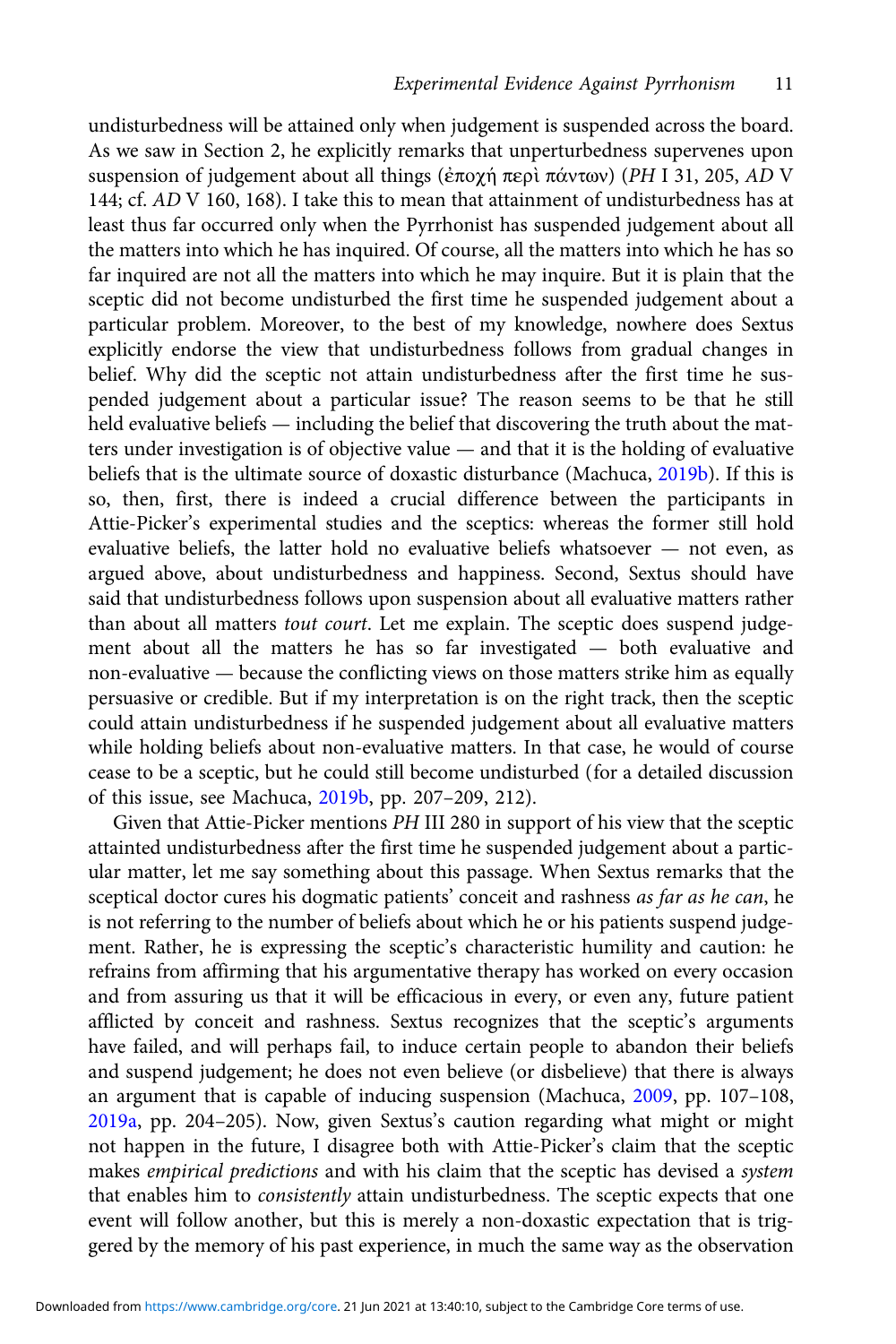undisturbedness will be attained only when judgement is suspended across the board. As we saw in Section 2, he explicitly remarks that unperturbedness supervenes upon suspension of judgement about all things (ἐποχή περὶ πάντων) (PH I 31, 205, AD V 144; cf. AD V 160, 168). I take this to mean that attainment of undisturbedness has at least thus far occurred only when the Pyrrhonist has suspended judgement about all the matters into which he has inquired. Of course, all the matters into which he has so far inquired are not all the matters into which he may inquire. But it is plain that the sceptic did not become undisturbed the first time he suspended judgement about a particular problem. Moreover, to the best of my knowledge, nowhere does Sextus explicitly endorse the view that undisturbedness follows from gradual changes in belief. Why did the sceptic not attain undisturbedness after the first time he suspended judgement about a particular issue? The reason seems to be that he still held evaluative beliefs — including the belief that discovering the truth about the matters under investigation is of objective value — and that it is the holding of evaluative beliefs that is the ultimate source of doxastic disturbance (Machuca, [2019b](#page-14-0)). If this is so, then, first, there is indeed a crucial difference between the participants in Attie-Picker's experimental studies and the sceptics: whereas the former still hold evaluative beliefs, the latter hold no evaluative beliefs whatsoever — not even, as argued above, about undisturbedness and happiness. Second, Sextus should have said that undisturbedness follows upon suspension about all evaluative matters rather than about all matters tout court. Let me explain. The sceptic does suspend judgement about all the matters he has so far investigated — both evaluative and non-evaluative — because the conflicting views on those matters strike him as equally persuasive or credible. But if my interpretation is on the right track, then the sceptic could attain undisturbedness if he suspended judgement about all evaluative matters while holding beliefs about non-evaluative matters. In that case, he would of course cease to be a sceptic, but he could still become undisturbed (for a detailed discussion of this issue, see Machuca, [2019b,](#page-14-0) pp. 207–209, 212).

Given that Attie-Picker mentions PH III 280 in support of his view that the sceptic attainted undisturbedness after the first time he suspended judgement about a particular matter, let me say something about this passage. When Sextus remarks that the sceptical doctor cures his dogmatic patients' conceit and rashness as far as he can, he is not referring to the number of beliefs about which he or his patients suspend judgement. Rather, he is expressing the sceptic's characteristic humility and caution: he refrains from affirming that his argumentative therapy has worked on every occasion and from assuring us that it will be efficacious in every, or even any, future patient afflicted by conceit and rashness. Sextus recognizes that the sceptic's arguments have failed, and will perhaps fail, to induce certain people to abandon their beliefs and suspend judgement; he does not even believe (or disbelieve) that there is always an argument that is capable of inducing suspension (Machuca, [2009](#page-14-0), pp. 107–108, [2019a](#page-14-0), pp. 204–205). Now, given Sextus's caution regarding what might or might not happen in the future, I disagree both with Attie-Picker's claim that the sceptic makes empirical predictions and with his claim that the sceptic has devised a system that enables him to consistently attain undisturbedness. The sceptic expects that one event will follow another, but this is merely a non-doxastic expectation that is triggered by the memory of his past experience, in much the same way as the observation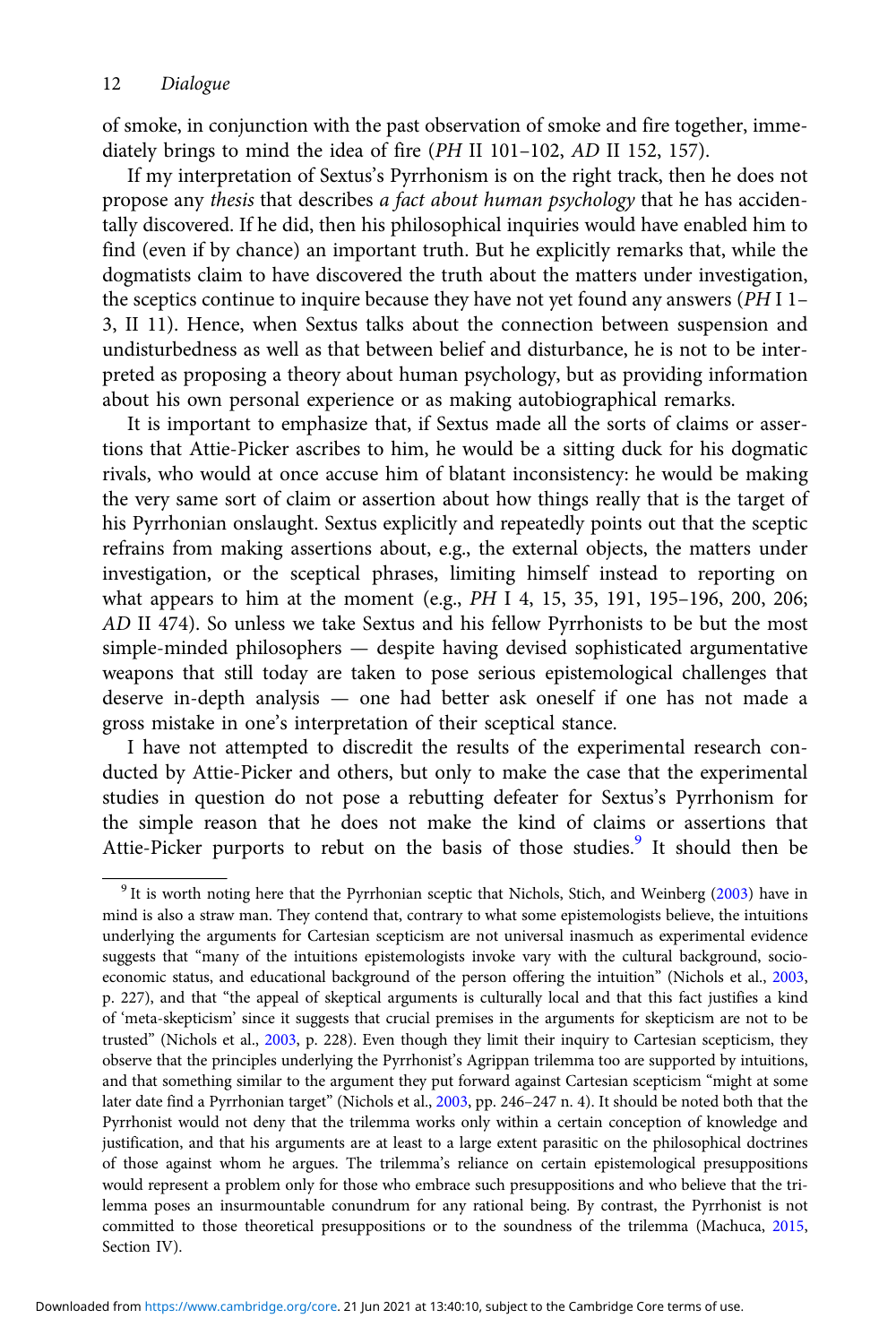of smoke, in conjunction with the past observation of smoke and fire together, immediately brings to mind the idea of fire (PH II 101–102, AD II 152, 157).

If my interpretation of Sextus's Pyrrhonism is on the right track, then he does not propose any thesis that describes a fact about human psychology that he has accidentally discovered. If he did, then his philosophical inquiries would have enabled him to find (even if by chance) an important truth. But he explicitly remarks that, while the dogmatists claim to have discovered the truth about the matters under investigation, the sceptics continue to inquire because they have not yet found any answers (PH I 1– 3, II 11). Hence, when Sextus talks about the connection between suspension and undisturbedness as well as that between belief and disturbance, he is not to be interpreted as proposing a theory about human psychology, but as providing information about his own personal experience or as making autobiographical remarks.

It is important to emphasize that, if Sextus made all the sorts of claims or assertions that Attie-Picker ascribes to him, he would be a sitting duck for his dogmatic rivals, who would at once accuse him of blatant inconsistency: he would be making the very same sort of claim or assertion about how things really that is the target of his Pyrrhonian onslaught. Sextus explicitly and repeatedly points out that the sceptic refrains from making assertions about, e.g., the external objects, the matters under investigation, or the sceptical phrases, limiting himself instead to reporting on what appears to him at the moment (e.g., PH I 4, 15, 35, 191, 195–196, 200, 206; AD II 474). So unless we take Sextus and his fellow Pyrrhonists to be but the most simple-minded philosophers — despite having devised sophisticated argumentative weapons that still today are taken to pose serious epistemological challenges that deserve in-depth analysis — one had better ask oneself if one has not made a gross mistake in one's interpretation of their sceptical stance.

I have not attempted to discredit the results of the experimental research conducted by Attie-Picker and others, but only to make the case that the experimental studies in question do not pose a rebutting defeater for Sextus's Pyrrhonism for the simple reason that he does not make the kind of claims or assertions that Attie-Picker purports to rebut on the basis of those studies.<sup>9</sup> It should then be

<sup>9</sup> It is worth noting here that the Pyrrhonian sceptic that Nichols, Stich, and Weinberg [\(2003\)](#page-14-0) have in mind is also a straw man. They contend that, contrary to what some epistemologists believe, the intuitions underlying the arguments for Cartesian scepticism are not universal inasmuch as experimental evidence suggests that "many of the intuitions epistemologists invoke vary with the cultural background, socioeconomic status, and educational background of the person offering the intuition" (Nichols et al., [2003,](#page-14-0) p. 227), and that "the appeal of skeptical arguments is culturally local and that this fact justifies a kind of 'meta-skepticism' since it suggests that crucial premises in the arguments for skepticism are not to be trusted" (Nichols et al., [2003,](#page-14-0) p. 228). Even though they limit their inquiry to Cartesian scepticism, they observe that the principles underlying the Pyrrhonist's Agrippan trilemma too are supported by intuitions, and that something similar to the argument they put forward against Cartesian scepticism "might at some later date find a Pyrrhonian target" (Nichols et al., [2003,](#page-14-0) pp. 246–247 n. 4). It should be noted both that the Pyrrhonist would not deny that the trilemma works only within a certain conception of knowledge and justification, and that his arguments are at least to a large extent parasitic on the philosophical doctrines of those against whom he argues. The trilemma's reliance on certain epistemological presuppositions would represent a problem only for those who embrace such presuppositions and who believe that the trilemma poses an insurmountable conundrum for any rational being. By contrast, the Pyrrhonist is not committed to those theoretical presuppositions or to the soundness of the trilemma (Machuca, [2015,](#page-14-0) Section IV).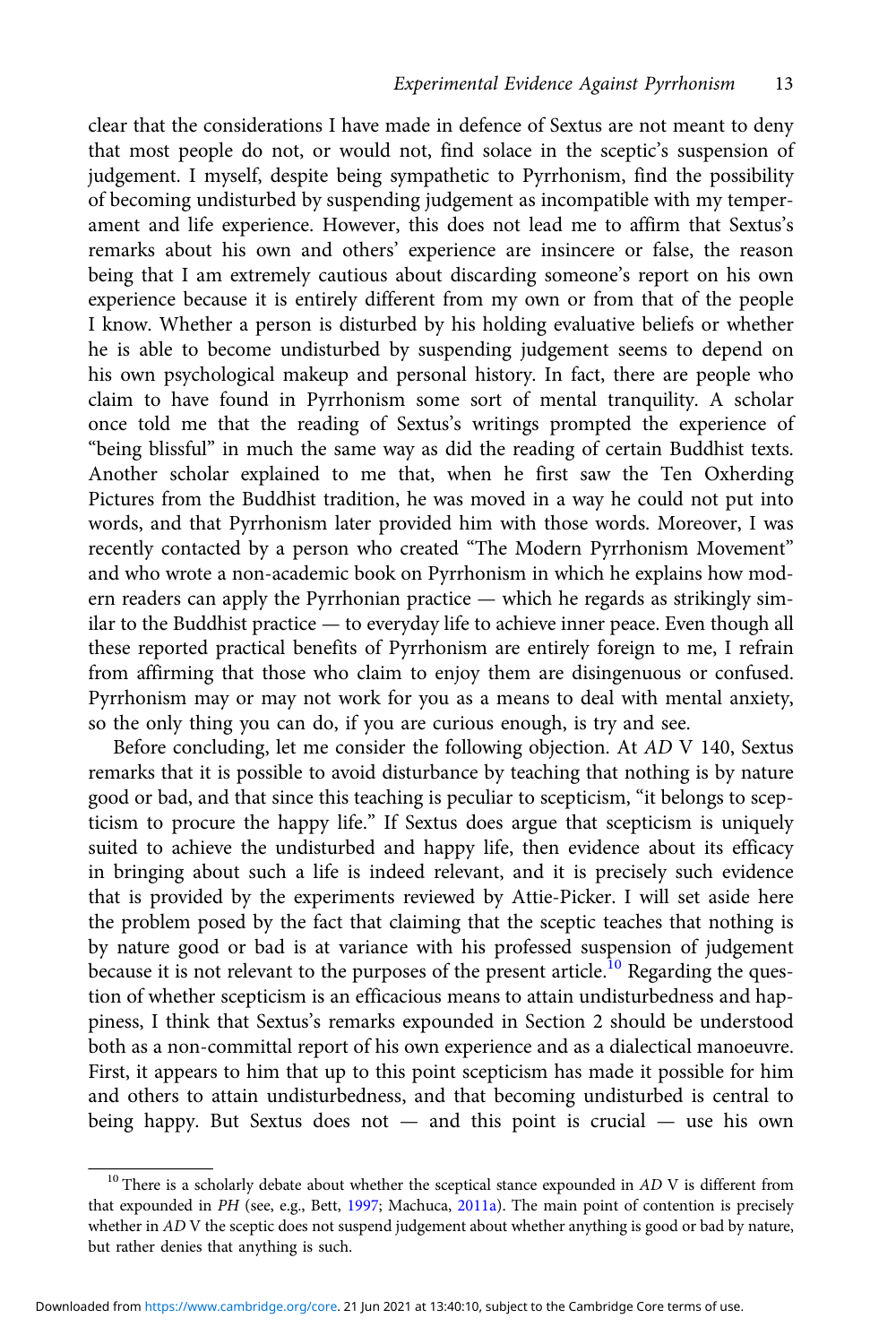clear that the considerations I have made in defence of Sextus are not meant to deny that most people do not, or would not, find solace in the sceptic's suspension of judgement. I myself, despite being sympathetic to Pyrrhonism, find the possibility of becoming undisturbed by suspending judgement as incompatible with my temperament and life experience. However, this does not lead me to affirm that Sextus's remarks about his own and others' experience are insincere or false, the reason being that I am extremely cautious about discarding someone's report on his own experience because it is entirely different from my own or from that of the people I know. Whether a person is disturbed by his holding evaluative beliefs or whether he is able to become undisturbed by suspending judgement seems to depend on his own psychological makeup and personal history. In fact, there are people who claim to have found in Pyrrhonism some sort of mental tranquility. A scholar once told me that the reading of Sextus's writings prompted the experience of "being blissful" in much the same way as did the reading of certain Buddhist texts. Another scholar explained to me that, when he first saw the Ten Oxherding Pictures from the Buddhist tradition, he was moved in a way he could not put into words, and that Pyrrhonism later provided him with those words. Moreover, I was recently contacted by a person who created "The Modern Pyrrhonism Movement" and who wrote a non-academic book on Pyrrhonism in which he explains how modern readers can apply the Pyrrhonian practice — which he regards as strikingly similar to the Buddhist practice — to everyday life to achieve inner peace. Even though all these reported practical benefits of Pyrrhonism are entirely foreign to me, I refrain from affirming that those who claim to enjoy them are disingenuous or confused. Pyrrhonism may or may not work for you as a means to deal with mental anxiety, so the only thing you can do, if you are curious enough, is try and see.

Before concluding, let me consider the following objection. At AD V 140, Sextus remarks that it is possible to avoid disturbance by teaching that nothing is by nature good or bad, and that since this teaching is peculiar to scepticism, "it belongs to scepticism to procure the happy life." If Sextus does argue that scepticism is uniquely suited to achieve the undisturbed and happy life, then evidence about its efficacy in bringing about such a life is indeed relevant, and it is precisely such evidence that is provided by the experiments reviewed by Attie-Picker. I will set aside here the problem posed by the fact that claiming that the sceptic teaches that nothing is by nature good or bad is at variance with his professed suspension of judgement because it is not relevant to the purposes of the present article.<sup>10</sup> Regarding the question of whether scepticism is an efficacious means to attain undisturbedness and happiness, I think that Sextus's remarks expounded in Section 2 should be understood both as a non-committal report of his own experience and as a dialectical manoeuvre. First, it appears to him that up to this point scepticism has made it possible for him and others to attain undisturbedness, and that becoming undisturbed is central to being happy. But Sextus does not — and this point is crucial — use his own

 $10$  There is a scholarly debate about whether the sceptical stance expounded in AD V is different from that expounded in PH (see, e.g., Bett, [1997;](#page-14-0) Machuca, [2011a](#page-14-0)). The main point of contention is precisely whether in AD V the sceptic does not suspend judgement about whether anything is good or bad by nature, but rather denies that anything is such.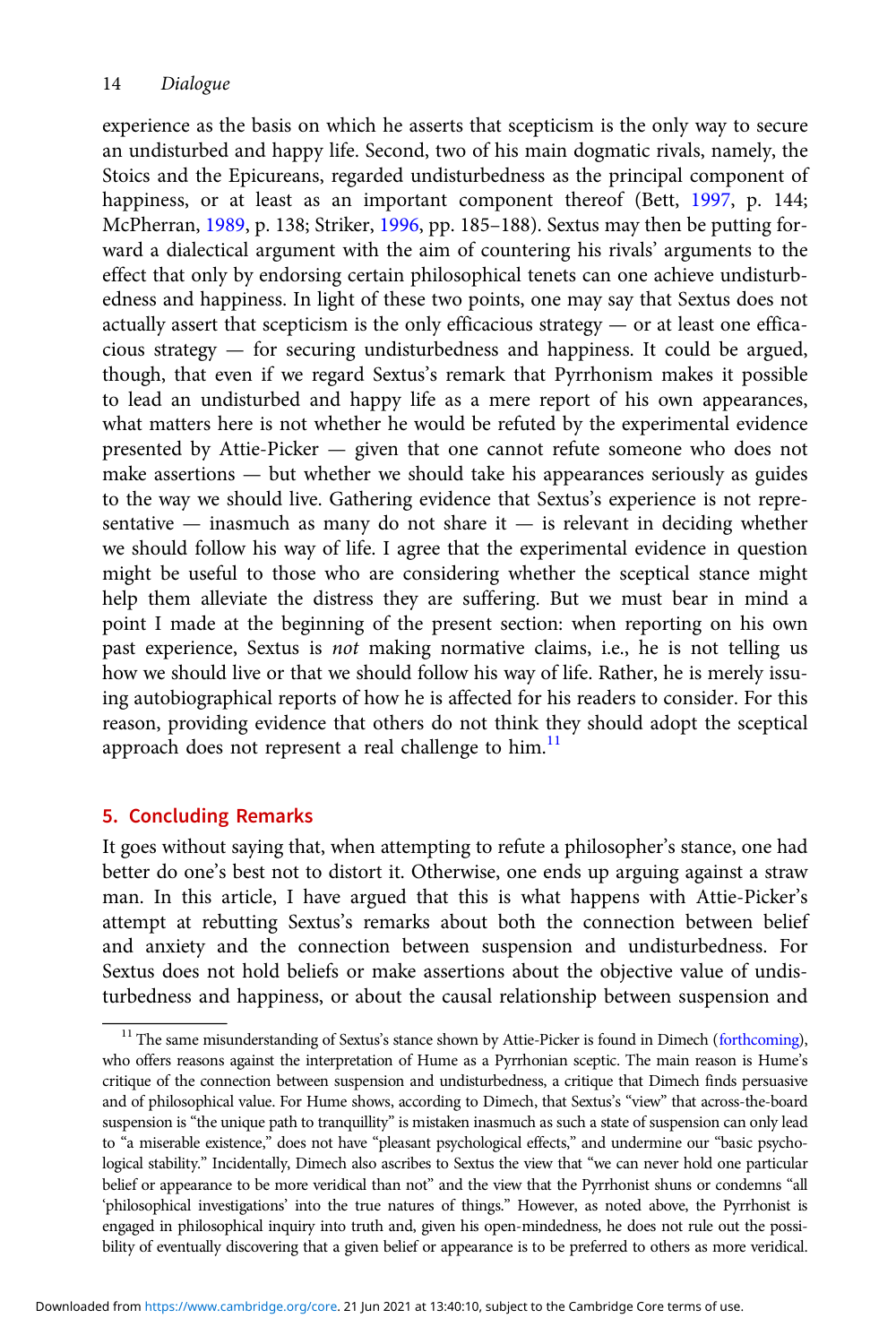experience as the basis on which he asserts that scepticism is the only way to secure an undisturbed and happy life. Second, two of his main dogmatic rivals, namely, the Stoics and the Epicureans, regarded undisturbedness as the principal component of happiness, or at least as an important component thereof (Bett, [1997](#page-14-0), p. 144; McPherran, [1989](#page-14-0), p. 138; Striker, [1996](#page-15-0), pp. 185–188). Sextus may then be putting forward a dialectical argument with the aim of countering his rivals' arguments to the effect that only by endorsing certain philosophical tenets can one achieve undisturbedness and happiness. In light of these two points, one may say that Sextus does not actually assert that scepticism is the only efficacious strategy  $-$  or at least one efficacious strategy — for securing undisturbedness and happiness. It could be argued, though, that even if we regard Sextus's remark that Pyrrhonism makes it possible to lead an undisturbed and happy life as a mere report of his own appearances, what matters here is not whether he would be refuted by the experimental evidence presented by Attie-Picker — given that one cannot refute someone who does not make assertions — but whether we should take his appearances seriously as guides to the way we should live. Gathering evidence that Sextus's experience is not representative — inasmuch as many do not share it — is relevant in deciding whether we should follow his way of life. I agree that the experimental evidence in question might be useful to those who are considering whether the sceptical stance might help them alleviate the distress they are suffering. But we must bear in mind a point I made at the beginning of the present section: when reporting on his own past experience, Sextus is not making normative claims, i.e., he is not telling us how we should live or that we should follow his way of life. Rather, he is merely issuing autobiographical reports of how he is affected for his readers to consider. For this reason, providing evidence that others do not think they should adopt the sceptical approach does not represent a real challenge to him.<sup>11</sup>

# 5. Concluding Remarks

It goes without saying that, when attempting to refute a philosopher's stance, one had better do one's best not to distort it. Otherwise, one ends up arguing against a straw man. In this article, I have argued that this is what happens with Attie-Picker's attempt at rebutting Sextus's remarks about both the connection between belief and anxiety and the connection between suspension and undisturbedness. For Sextus does not hold beliefs or make assertions about the objective value of undisturbedness and happiness, or about the causal relationship between suspension and

<sup>&</sup>lt;sup>11</sup> The same misunderstanding of Sextus's stance shown by Attie-Picker is found in Dimech [\(forthcoming](#page-14-0)), who offers reasons against the interpretation of Hume as a Pyrrhonian sceptic. The main reason is Hume's critique of the connection between suspension and undisturbedness, a critique that Dimech finds persuasive and of philosophical value. For Hume shows, according to Dimech, that Sextus's "view" that across-the-board suspension is "the unique path to tranquillity" is mistaken inasmuch as such a state of suspension can only lead to "a miserable existence," does not have "pleasant psychological effects," and undermine our "basic psychological stability." Incidentally, Dimech also ascribes to Sextus the view that "we can never hold one particular belief or appearance to be more veridical than not" and the view that the Pyrrhonist shuns or condemns "all 'philosophical investigations' into the true natures of things." However, as noted above, the Pyrrhonist is engaged in philosophical inquiry into truth and, given his open-mindedness, he does not rule out the possibility of eventually discovering that a given belief or appearance is to be preferred to others as more veridical.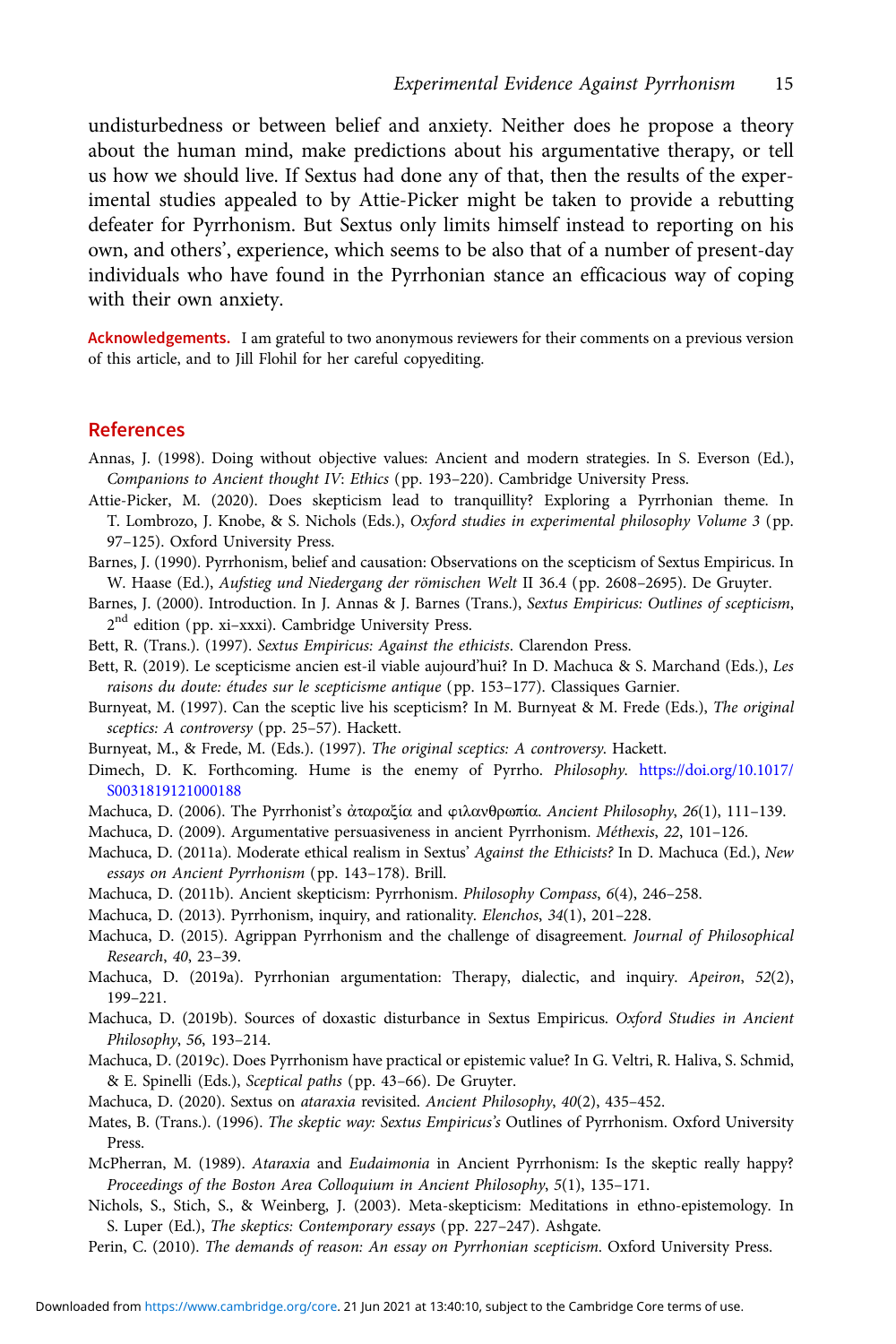<span id="page-14-0"></span>undisturbedness or between belief and anxiety. Neither does he propose a theory about the human mind, make predictions about his argumentative therapy, or tell us how we should live. If Sextus had done any of that, then the results of the experimental studies appealed to by Attie-Picker might be taken to provide a rebutting defeater for Pyrrhonism. But Sextus only limits himself instead to reporting on his own, and others', experience, which seems to be also that of a number of present-day individuals who have found in the Pyrrhonian stance an efficacious way of coping with their own anxiety.

Acknowledgements. I am grateful to two anonymous reviewers for their comments on a previous version of this article, and to Jill Flohil for her careful copyediting.

#### References

- Annas, J. (1998). Doing without objective values: Ancient and modern strategies. In S. Everson (Ed.), Companions to Ancient thought IV: Ethics (pp. 193–220). Cambridge University Press.
- Attie-Picker, M. (2020). Does skepticism lead to tranquillity? Exploring a Pyrrhonian theme. In T. Lombrozo, J. Knobe, & S. Nichols (Eds.), Oxford studies in experimental philosophy Volume 3 (pp. 97–125). Oxford University Press.
- Barnes, J. (1990). Pyrrhonism, belief and causation: Observations on the scepticism of Sextus Empiricus. In W. Haase (Ed.), Aufstieg und Niedergang der römischen Welt II 36.4 (pp. 2608–2695). De Gruyter.
- Barnes, J. (2000). Introduction. In J. Annas & J. Barnes (Trans.), Sextus Empiricus: Outlines of scepticism, 2<sup>nd</sup> edition (pp. xi-xxxi). Cambridge University Press.
- Bett, R. (Trans.). (1997). Sextus Empiricus: Against the ethicists. Clarendon Press.
- Bett, R. (2019). Le scepticisme ancien est-il viable aujourd'hui? In D. Machuca & S. Marchand (Eds.), Les raisons du doute: études sur le scepticisme antique (pp. 153–177). Classiques Garnier.
- Burnyeat, M. (1997). Can the sceptic live his scepticism? In M. Burnyeat & M. Frede (Eds.), The original sceptics: A controversy (pp. 25–57). Hackett.
- Burnyeat, M., & Frede, M. (Eds.). (1997). The original sceptics: A controversy. Hackett.
- Dimech, D. K. Forthcoming. Hume is the enemy of Pyrrho. Philosophy. [https://doi.org/10.1017/](https://doi.org/10.1017/S0031819121000188) [S0031819121000188](https://doi.org/10.1017/S0031819121000188)
- Machuca, D. (2006). The Pyrrhonist's ἀταραξία and wιλανθρωπία. Ancient Philosophy, 26(1), 111–139.
- Machuca, D. (2009). Argumentative persuasiveness in ancient Pyrrhonism. Méthexis, 22, 101–126.
- Machuca, D. (2011a). Moderate ethical realism in Sextus' Against the Ethicists? In D. Machuca (Ed.), New essays on Ancient Pyrrhonism (pp. 143–178). Brill.
- Machuca, D. (2011b). Ancient skepticism: Pyrrhonism. Philosophy Compass, 6(4), 246–258.
- Machuca, D. (2013). Pyrrhonism, inquiry, and rationality. Elenchos, 34(1), 201–228.
- Machuca, D. (2015). Agrippan Pyrrhonism and the challenge of disagreement. Journal of Philosophical Research, 40, 23–39.
- Machuca, D. (2019a). Pyrrhonian argumentation: Therapy, dialectic, and inquiry. Apeiron, 52(2), 199–221.
- Machuca, D. (2019b). Sources of doxastic disturbance in Sextus Empiricus. Oxford Studies in Ancient Philosophy, 56, 193–214.
- Machuca, D. (2019c). Does Pyrrhonism have practical or epistemic value? In G. Veltri, R. Haliva, S. Schmid, & E. Spinelli (Eds.), Sceptical paths (pp. 43–66). De Gruyter.
- Machuca, D. (2020). Sextus on ataraxia revisited. Ancient Philosophy, 40(2), 435-452.
- Mates, B. (Trans.). (1996). The skeptic way: Sextus Empiricus's Outlines of Pyrrhonism. Oxford University Press.
- McPherran, M. (1989). Ataraxia and Eudaimonia in Ancient Pyrrhonism: Is the skeptic really happy? Proceedings of the Boston Area Colloquium in Ancient Philosophy, 5(1), 135–171.
- Nichols, S., Stich, S., & Weinberg, J. (2003). Meta-skepticism: Meditations in ethno-epistemology. In S. Luper (Ed.), The skeptics: Contemporary essays (pp. 227–247). Ashgate.
- Perin, C. (2010). The demands of reason: An essay on Pyrrhonian scepticism. Oxford University Press.